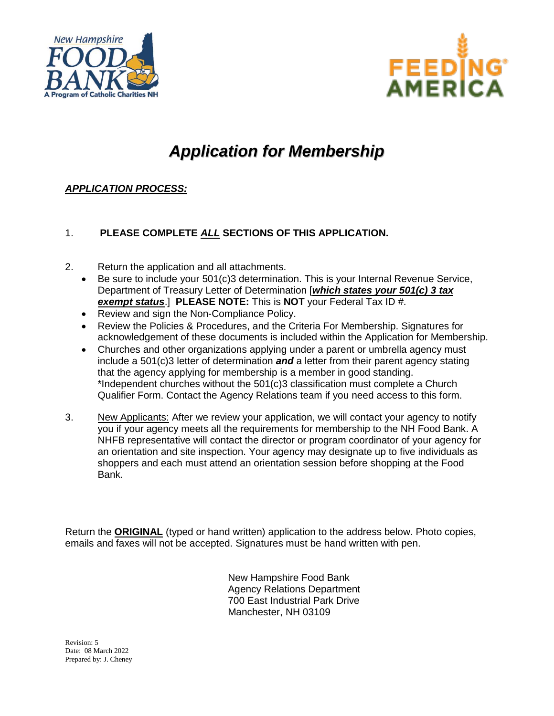



# *Application for Membership*

### *APPLICATION PROCESS:*

### 1. **PLEASE COMPLETE** *ALL* **SECTIONS OF THIS APPLICATION.**

- 2. Return the application and all attachments.
	- Be sure to include your 501(c)3 determination. This is your Internal Revenue Service, Department of Treasury Letter of Determination [*which states your 501(c) 3 tax exempt status*.] **PLEASE NOTE:** This is **NOT** your Federal Tax ID #.
	- Review and sign the Non-Compliance Policy.
	- Review the Policies & Procedures, and the Criteria For Membership. Signatures for acknowledgement of these documents is included within the Application for Membership.
	- Churches and other organizations applying under a parent or umbrella agency must include a 501(c)3 letter of determination *and* a letter from their parent agency stating that the agency applying for membership is a member in good standing. \*Independent churches without the 501(c)3 classification must complete a Church Qualifier Form. Contact the Agency Relations team if you need access to this form.
- 3. New Applicants: After we review your application, we will contact your agency to notify you if your agency meets all the requirements for membership to the NH Food Bank. A NHFB representative will contact the director or program coordinator of your agency for an orientation and site inspection. Your agency may designate up to five individuals as shoppers and each must attend an orientation session before shopping at the Food Bank.

Return the **ORIGINAL** (typed or hand written) application to the address below. Photo copies, emails and faxes will not be accepted. Signatures must be hand written with pen.

> New Hampshire Food Bank Agency Relations Department 700 East Industrial Park Drive Manchester, NH 03109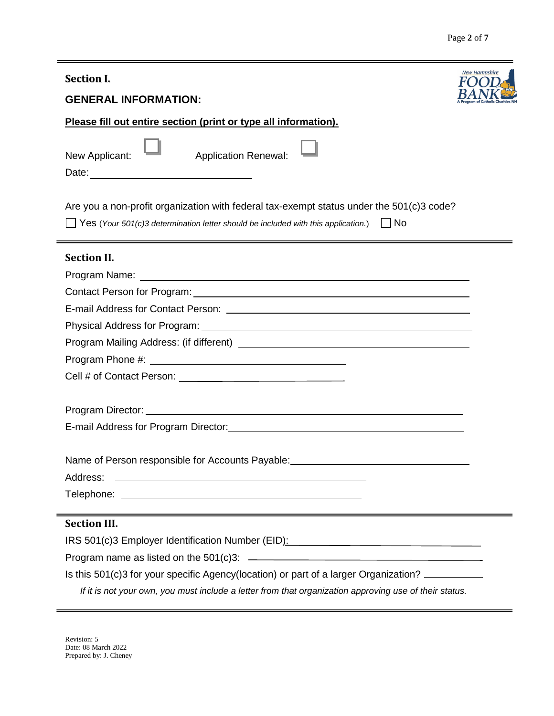| <b>Section I.</b>                                                                                                                                                                                                                         | <b>New Hampshire</b> |
|-------------------------------------------------------------------------------------------------------------------------------------------------------------------------------------------------------------------------------------------|----------------------|
| <b>GENERAL INFORMATION:</b>                                                                                                                                                                                                               |                      |
| Please fill out entire section (print or type all information).                                                                                                                                                                           |                      |
| <b>Application Renewal:</b><br>New Applicant:                                                                                                                                                                                             |                      |
| Are you a non-profit organization with federal tax-exempt status under the 501(c)3 code?<br>$\Box$ Yes (Your 501(c)3 determination letter should be included with this application.) $\Box$ No                                            |                      |
| <b>Section II.</b>                                                                                                                                                                                                                        |                      |
|                                                                                                                                                                                                                                           |                      |
|                                                                                                                                                                                                                                           |                      |
|                                                                                                                                                                                                                                           |                      |
|                                                                                                                                                                                                                                           |                      |
|                                                                                                                                                                                                                                           |                      |
|                                                                                                                                                                                                                                           |                      |
|                                                                                                                                                                                                                                           |                      |
|                                                                                                                                                                                                                                           |                      |
|                                                                                                                                                                                                                                           |                      |
| Name of Person responsible for Accounts Payable: \\connection materials response to Person responsible for Accounts Payable:                                                                                                              |                      |
| Address:<br>the control of the control of the control of the control of the control of the control of the control of the control of the control of the control of the control of the control of the control of the control of the control |                      |
|                                                                                                                                                                                                                                           |                      |
| <b>Section III.</b>                                                                                                                                                                                                                       |                      |
| IRS 501(c)3 Employer Identification Number (EID): Manual Communication of the S01(c)3 Employer Identification Number (EID):                                                                                                               |                      |
|                                                                                                                                                                                                                                           |                      |
| Is this 501(c)3 for your specific Agency(location) or part of a larger Organization?                                                                                                                                                      |                      |
| If it is not your own, you must include a letter from that organization approving use of their status.                                                                                                                                    |                      |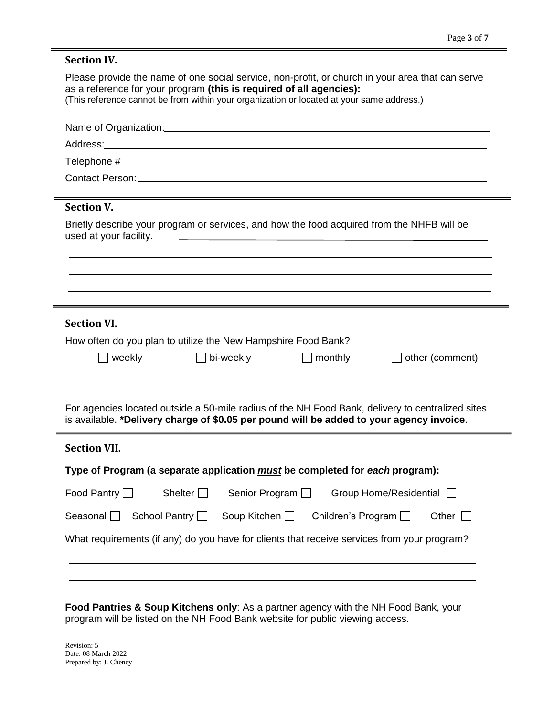| <b>Section IV.</b>                                                                                                                                                                                                             |                      |                     |                           |                                                                                                  |
|--------------------------------------------------------------------------------------------------------------------------------------------------------------------------------------------------------------------------------|----------------------|---------------------|---------------------------|--------------------------------------------------------------------------------------------------|
| as a reference for your program (this is required of all agencies):<br>(This reference cannot be from within your organization or located at your same address.)                                                               |                      |                     |                           | Please provide the name of one social service, non-profit, or church in your area that can serve |
|                                                                                                                                                                                                                                |                      |                     |                           |                                                                                                  |
|                                                                                                                                                                                                                                |                      |                     |                           |                                                                                                  |
|                                                                                                                                                                                                                                |                      |                     |                           |                                                                                                  |
| Contact Person: Note and the set of the set of the set of the set of the set of the set of the set of the set of the set of the set of the set of the set of the set of the set of the set of the set of the set of the set of |                      |                     |                           |                                                                                                  |
| <b>Section V.</b>                                                                                                                                                                                                              |                      |                     |                           |                                                                                                  |
| used at your facility.                                                                                                                                                                                                         |                      |                     |                           | Briefly describe your program or services, and how the food acquired from the NHFB will be       |
|                                                                                                                                                                                                                                |                      |                     |                           |                                                                                                  |
|                                                                                                                                                                                                                                |                      |                     |                           |                                                                                                  |
|                                                                                                                                                                                                                                |                      |                     |                           |                                                                                                  |
|                                                                                                                                                                                                                                |                      |                     |                           |                                                                                                  |
|                                                                                                                                                                                                                                |                      |                     |                           |                                                                                                  |
| <b>Section VI.</b>                                                                                                                                                                                                             |                      |                     |                           |                                                                                                  |
| How often do you plan to utilize the New Hampshire Food Bank?                                                                                                                                                                  |                      |                     |                           |                                                                                                  |
| $\Box$ weekly                                                                                                                                                                                                                  |                      | bi-weekly           | monthly                   | other (comment)                                                                                  |
|                                                                                                                                                                                                                                |                      |                     |                           |                                                                                                  |
|                                                                                                                                                                                                                                |                      |                     |                           | For agencies located outside a 50-mile radius of the NH Food Bank, delivery to centralized sites |
|                                                                                                                                                                                                                                |                      |                     |                           | is available. *Delivery charge of \$0.05 per pound will be added to your agency invoice.         |
| <b>Section VII.</b>                                                                                                                                                                                                            |                      |                     |                           |                                                                                                  |
|                                                                                                                                                                                                                                |                      |                     |                           |                                                                                                  |
| Type of Program (a separate application <i>must</i> be completed for each program):                                                                                                                                            |                      |                     |                           |                                                                                                  |
| Food Pantry $\Box$                                                                                                                                                                                                             | Shelter $\Box$       | Senior Program [    |                           | Group Home/Residential                                                                           |
| Seasonal $\Box$                                                                                                                                                                                                                | School Pantry $\Box$ | Soup Kitchen $\Box$ | Children's Program $\Box$ | Other $\Box$                                                                                     |

**Food Pantries & Soup Kitchens only**: As a partner agency with the NH Food Bank, your program will be listed on the NH Food Bank website for public viewing access.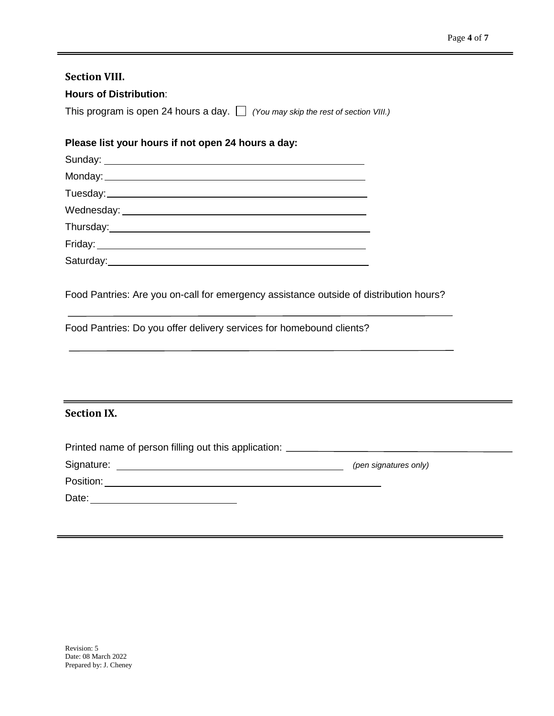### **Section VIII.**

### **Hours of Distribution**:

This program is open 24 hours a day. *(You may skip the rest of section VIII.)*

### **Please list your hours if not open 24 hours a day:**

| Saturday:_________________________ |
|------------------------------------|
|                                    |

Food Pantries: Are you on-call for emergency assistance outside of distribution hours?

Food Pantries: Do you offer delivery services for homebound clients?

### **Section IX.**

| Printed name of person filling out this application: ___________________________ |                       |
|----------------------------------------------------------------------------------|-----------------------|
| Signature:                                                                       | (pen signatures only) |
| Position:                                                                        |                       |
| Date:                                                                            |                       |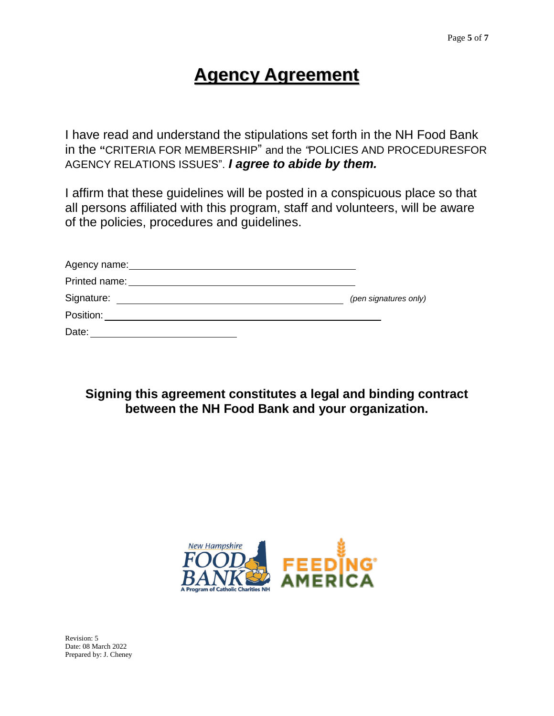# **Agency Agreement**

I have read and understand the stipulations set forth in the NH Food Bank in the **"**CRITERIA FOR MEMBERSHIP" and the *"*POLICIES AND PROCEDURESFOR AGENCY RELATIONS ISSUES". *I agree to abide by them.*

I affirm that these guidelines will be posted in a conspicuous place so that all persons affiliated with this program, staff and volunteers, will be aware of the policies, procedures and guidelines.

| Agency name:<br><u> 1989 - John Stone, amerikansk politiker (* 1989)</u>                                                                                                                                                       |                       |
|--------------------------------------------------------------------------------------------------------------------------------------------------------------------------------------------------------------------------------|-----------------------|
| Printed name: Note and the set of the set of the set of the set of the set of the set of the set of the set of the set of the set of the set of the set of the set of the set of the set of the set of the set of the set of t |                       |
| Signature:                                                                                                                                                                                                                     | (pen signatures only) |
| Position: <b>Example 2019</b>                                                                                                                                                                                                  |                       |
| Date:                                                                                                                                                                                                                          |                       |

## **Signing this agreement constitutes a legal and binding contract between the NH Food Bank and your organization.**

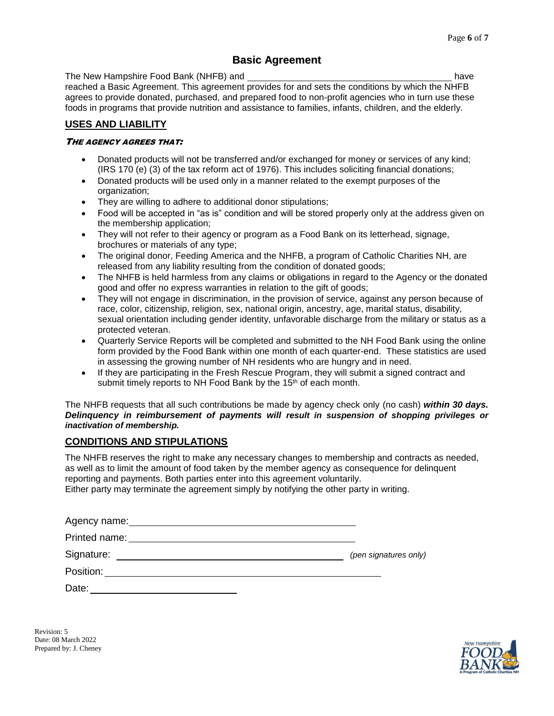### **Basic Agreement**

The New Hampshire Food Bank (NHFB) and have reached a Basic Agreement. This agreement provides for and sets the conditions by which the NHFB agrees to provide donated, purchased, and prepared food to non-profit agencies who in turn use these foods in programs that provide nutrition and assistance to families, infants, children, and the elderly.

### **USES AND LIABILITY**

### THE AGENCY AGREES THAT:

- Donated products will not be transferred and/or exchanged for money or services of any kind; (IRS 170 (e) (3) of the tax reform act of 1976). This includes soliciting financial donations;
- Donated products will be used only in a manner related to the exempt purposes of the organization;
- They are willing to adhere to additional donor stipulations;
- Food will be accepted in "as is" condition and will be stored properly only at the address given on the membership application;
- They will not refer to their agency or program as a Food Bank on its letterhead, signage, brochures or materials of any type;
- The original donor, Feeding America and the NHFB, a program of Catholic Charities NH, are released from any liability resulting from the condition of donated goods;
- The NHFB is held harmless from any claims or obligations in regard to the Agency or the donated good and offer no express warranties in relation to the gift of goods;
- They will not engage in discrimination, in the provision of service, against any person because of race, color, citizenship, religion, sex, national origin, ancestry, age, marital status, disability, sexual orientation including gender identity, unfavorable discharge from the military or status as a protected veteran.
- Quarterly Service Reports will be completed and submitted to the NH Food Bank using the online form provided by the Food Bank within one month of each quarter-end. These statistics are used in assessing the growing number of NH residents who are hungry and in need.
- If they are participating in the Fresh Rescue Program, they will submit a signed contract and submit timely reports to NH Food Bank by the 15<sup>th</sup> of each month.

The NHFB requests that all such contributions be made by agency check only (no cash) *within 30 days. Delinquency in reimbursement of payments will result in suspension of shopping privileges or inactivation of membership.*

### **CONDITIONS AND STIPULATIONS**

The NHFB reserves the right to make any necessary changes to membership and contracts as needed, as well as to limit the amount of food taken by the member agency as consequence for delinquent reporting and payments. Both parties enter into this agreement voluntarily. Either party may terminate the agreement simply by notifying the other party in writing.

Agency name: **Agency name:** Agency name: **Agency name: Agency name: Agency name: Agency name: Agency name: Agency name: Agency name: Agency name: Agency name: Agency name: Agency name: Agency name:**

Printed name: We have a state of the state of the state of the state of the state of the state of the state of the state of the state of the state of the state of the state of the state of the state of the state of the sta

Signature: *(pen signatures only)*

Position: **Example 2018** 

Date: